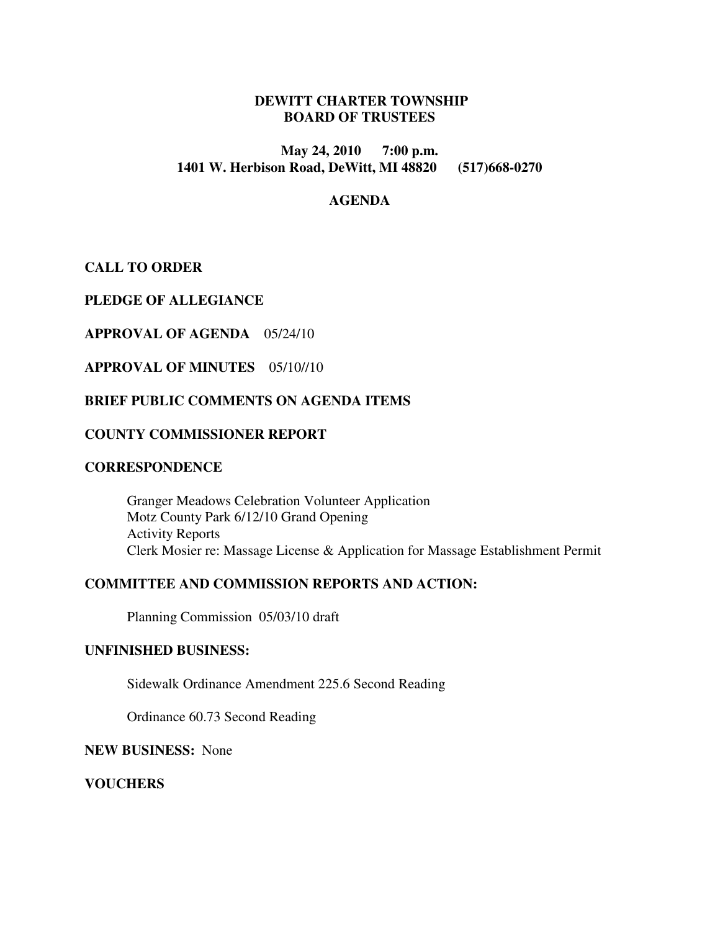## **DEWITT CHARTER TOWNSHIP BOARD OF TRUSTEES**

# **May 24, 2010 7:00 p.m. 1401 W. Herbison Road, DeWitt, MI 48820 (517)668-0270**

### **AGENDA**

# **CALL TO ORDER**

**PLEDGE OF ALLEGIANCE** 

**APPROVAL OF AGENDA** 05/24/10

**APPROVAL OF MINUTES** 05/10//10

### **BRIEF PUBLIC COMMENTS ON AGENDA ITEMS**

## **COUNTY COMMISSIONER REPORT**

#### **CORRESPONDENCE**

 Granger Meadows Celebration Volunteer Application Motz County Park 6/12/10 Grand Opening Activity Reports Clerk Mosier re: Massage License & Application for Massage Establishment Permit

### **COMMITTEE AND COMMISSION REPORTS AND ACTION:**

Planning Commission 05/03/10 draft

### **UNFINISHED BUSINESS:**

Sidewalk Ordinance Amendment 225.6 Second Reading

Ordinance 60.73 Second Reading

# **NEW BUSINESS:** None

**VOUCHERS**